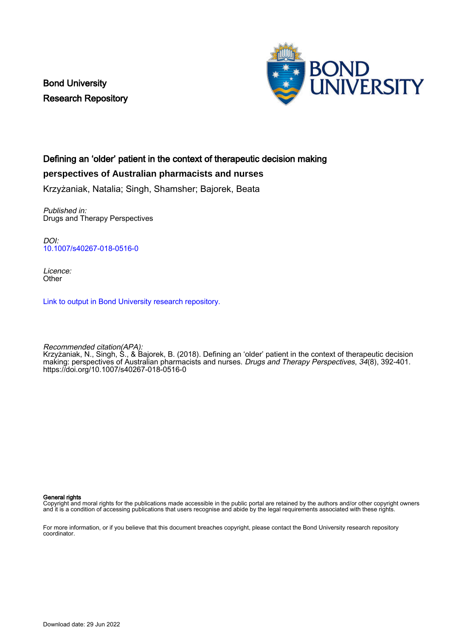Bond University Research Repository



# Defining an 'older' patient in the context of therapeutic decision making

# **perspectives of Australian pharmacists and nurses**

Krzyżaniak, Natalia; Singh, Shamsher; Bajorek, Beata

Published in: Drugs and Therapy Perspectives

DOI: [10.1007/s40267-018-0516-0](https://doi.org/10.1007/s40267-018-0516-0)

Licence: **Other** 

[Link to output in Bond University research repository.](https://research.bond.edu.au/en/publications/7d4e008d-b8a1-4728-a001-6792a6aa0ebf)

Recommended citation(APA): Krzyżaniak, N., Singh, S., & Bajorek, B. (2018). Defining an 'older' patient in the context of therapeutic decision making: perspectives of Australian pharmacists and nurses. *Drugs and Therapy Perspectives, 34*(8), 392-401. <https://doi.org/10.1007/s40267-018-0516-0>

General rights

Copyright and moral rights for the publications made accessible in the public portal are retained by the authors and/or other copyright owners and it is a condition of accessing publications that users recognise and abide by the legal requirements associated with these rights.

For more information, or if you believe that this document breaches copyright, please contact the Bond University research repository coordinator.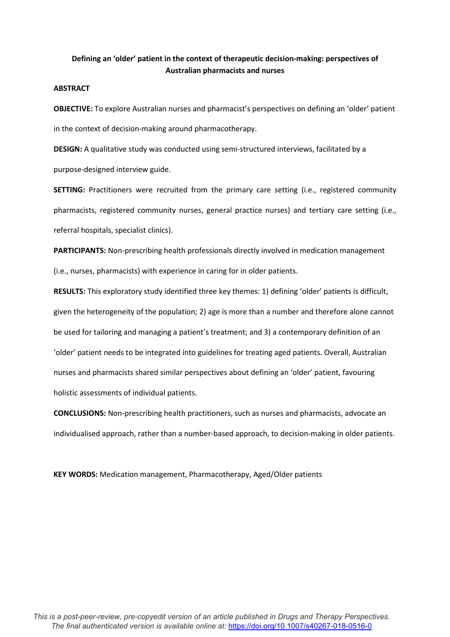# **Defining an 'older' patient in the context of therapeutic decision-making: perspectives of Australian pharmacists and nurses**

### **ABSTRACT**

**OBJECTIVE:** To explore Australian nurses and pharmacist's perspectives on defining an 'older' patient in the context of decision-making around pharmacotherapy.

**DESIGN:** A qualitative study was conducted using semi-structured interviews, facilitated by a purpose-designed interview guide.

**SETTING:** Practitioners were recruited from the primary care setting (i.e., registered community pharmacists, registered community nurses, general practice nurses) and tertiary care setting (i.e., referral hospitals, specialist clinics).

**PARTICIPANTS:** Non-prescribing health professionals directly involved in medication management (i.e., nurses, pharmacists) with experience in caring for in older patients.

**RESULTS:** This exploratory study identified three key themes: 1) defining 'older' patients is difficult, given the heterogeneity of the population; 2) age is more than a number and therefore alone cannot be used for tailoring and managing a patient's treatment; and 3) a contemporary definition of an 'older' patient needs to be integrated into guidelines for treating aged patients. Overall, Australian nurses and pharmacists shared similar perspectives about defining an 'older' patient, favouring holistic assessments of individual patients.

**CONCLUSIONS:** Non-prescribing health practitioners, such as nurses and pharmacists, advocate an individualised approach, rather than a number-based approach, to decision-making in older patients.

**KEY WORDS:** Medication management, Pharmacotherapy, Aged/Older patients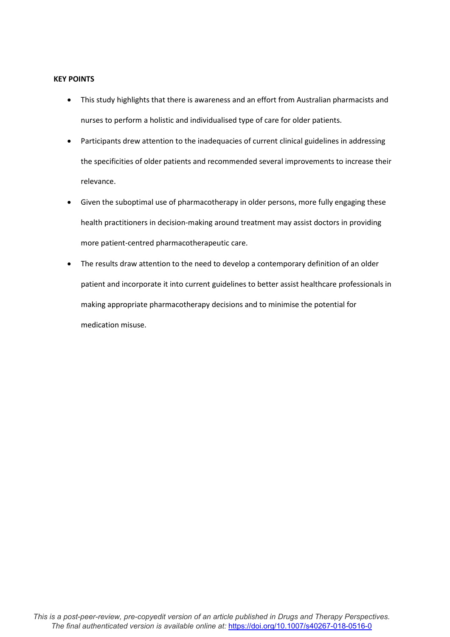## **KEY POINTS**

- This study highlights that there is awareness and an effort from Australian pharmacists and nurses to perform a holistic and individualised type of care for older patients.
- Participants drew attention to the inadequacies of current clinical guidelines in addressing the specificities of older patients and recommended several improvements to increase their relevance.
- Given the suboptimal use of pharmacotherapy in older persons, more fully engaging these health practitioners in decision-making around treatment may assist doctors in providing more patient-centred pharmacotherapeutic care.
- The results draw attention to the need to develop a contemporary definition of an older patient and incorporate it into current guidelines to better assist healthcare professionals in making appropriate pharmacotherapy decisions and to minimise the potential for medication misuse.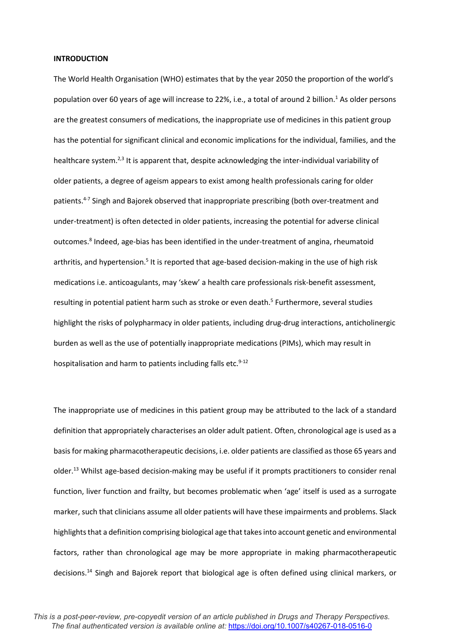#### **INTRODUCTION**

The World Health Organisation (WHO) estimates that by the year 2050 the proportion of the world's population over 60 years of age will increase to 22%, i.e., a total of around 2 billion.1 As older persons are the greatest consumers of medications, the inappropriate use of medicines in this patient group has the potential for significant clinical and economic implications for the individual, families, and the healthcare system.<sup>2,3</sup> It is apparent that, despite acknowledging the inter-individual variability of older patients, a degree of ageism appears to exist among health professionals caring for older patients.<sup>4-7</sup> Singh and Bajorek observed that inappropriate prescribing (both over-treatment and under-treatment) is often detected in older patients, increasing the potential for adverse clinical outcomes.<sup>8</sup> Indeed, age-bias has been identified in the under-treatment of angina, rheumatoid arthritis, and hypertension.<sup>5</sup> It is reported that age-based decision-making in the use of high risk medications i.e. anticoagulants, may 'skew' a health care professionals risk-benefit assessment, resulting in potential patient harm such as stroke or even death.<sup>5</sup> Furthermore, several studies highlight the risks of polypharmacy in older patients, including drug-drug interactions, anticholinergic burden as well as the use of potentially inappropriate medications (PIMs), which may result in hospitalisation and harm to patients including falls etc. $9-12$ 

The inappropriate use of medicines in this patient group may be attributed to the lack of a standard definition that appropriately characterises an older adult patient. Often, chronological age is used as a basis for making pharmacotherapeutic decisions, i.e. older patients are classified as those 65 years and older. <sup>13</sup> Whilst age-based decision-making may be useful if it prompts practitioners to consider renal function, liver function and frailty, but becomes problematic when 'age' itself is used as a surrogate marker, such that clinicians assume all older patients will have these impairments and problems. Slack highlights that a definition comprising biological age that takes into account genetic and environmental factors, rather than chronological age may be more appropriate in making pharmacotherapeutic decisions.14 Singh and Bajorek report that biological age is often defined using clinical markers, or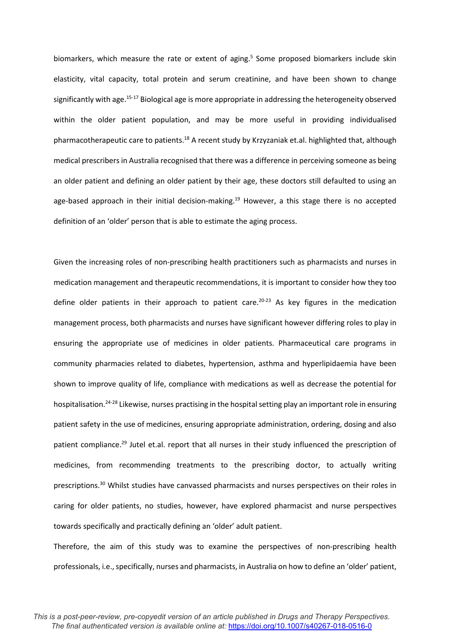biomarkers, which measure the rate or extent of aging.<sup>5</sup> Some proposed biomarkers include skin elasticity, vital capacity, total protein and serum creatinine, and have been shown to change significantly with age.<sup>15-17</sup> Biological age is more appropriate in addressing the heterogeneity observed within the older patient population, and may be more useful in providing individualised pharmacotherapeutic care to patients.<sup>18</sup> A recent study by Krzyzaniak et.al. highlighted that, although medical prescribers in Australia recognised that there was a difference in perceiving someone as being an older patient and defining an older patient by their age, these doctors still defaulted to using an age-based approach in their initial decision-making.<sup>19</sup> However, a this stage there is no accepted definition of an 'older' person that is able to estimate the aging process.

Given the increasing roles of non-prescribing health practitioners such as pharmacists and nurses in medication management and therapeutic recommendations, it is important to consider how they too define older patients in their approach to patient care.<sup>20-23</sup> As key figures in the medication management process, both pharmacists and nurses have significant however differing roles to play in ensuring the appropriate use of medicines in older patients. Pharmaceutical care programs in community pharmacies related to diabetes, hypertension, asthma and hyperlipidaemia have been shown to improve quality of life, compliance with medications as well as decrease the potential for hospitalisation.24-28 Likewise, nurses practising in the hospital setting play an important role in ensuring patient safety in the use of medicines, ensuring appropriate administration, ordering, dosing and also patient compliance.29 Jutel et.al. report that all nurses in their study influenced the prescription of medicines, from recommending treatments to the prescribing doctor, to actually writing prescriptions.30 Whilst studies have canvassed pharmacists and nurses perspectives on their roles in caring for older patients, no studies, however, have explored pharmacist and nurse perspectives towards specifically and practically defining an 'older' adult patient.

Therefore, the aim of this study was to examine the perspectives of non-prescribing health professionals, i.e., specifically, nurses and pharmacists, in Australia on how to define an 'older' patient,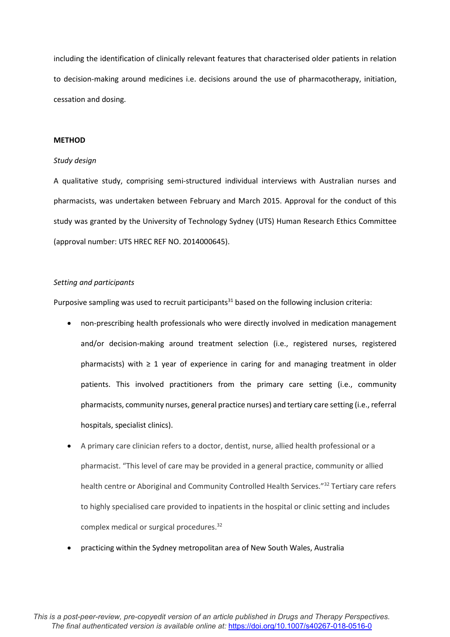including the identification of clinically relevant features that characterised older patients in relation to decision-making around medicines i.e. decisions around the use of pharmacotherapy, initiation, cessation and dosing.

#### **METHOD**

#### *Study design*

A qualitative study, comprising semi-structured individual interviews with Australian nurses and pharmacists, was undertaken between February and March 2015. Approval for the conduct of this study was granted by the University of Technology Sydney (UTS) Human Research Ethics Committee (approval number: UTS HREC REF NO. 2014000645).

#### *Setting and participants*

Purposive sampling was used to recruit participants<sup>31</sup> based on the following inclusion criteria:

- non-prescribing health professionals who were directly involved in medication management and/or decision-making around treatment selection (i.e., registered nurses, registered pharmacists) with  $\geq 1$  year of experience in caring for and managing treatment in older patients. This involved practitioners from the primary care setting (i.e., community pharmacists, community nurses, general practice nurses) and tertiary care setting (i.e., referral hospitals, specialist clinics).
- A primary care clinician refers to a doctor, dentist, nurse, allied health professional or a pharmacist. "This level of care may be provided in a general practice, community or allied health centre or Aboriginal and Community Controlled Health Services."<sup>32</sup> Tertiary care refers to highly specialised care provided to inpatients in the hospital or clinic setting and includes complex medical or surgical procedures.32
- practicing within the Sydney metropolitan area of New South Wales, Australia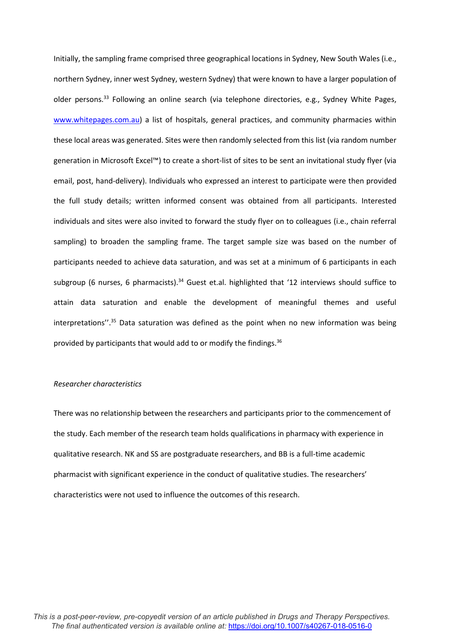Initially, the sampling frame comprised three geographical locations in Sydney, New South Wales (i.e., northern Sydney, inner west Sydney, western Sydney) that were known to have a larger population of older persons.33 Following an online search (via telephone directories, e.g., Sydney White Pages, [www.whitepages.com.au\)](http://www.whitepages.com.au/) a list of hospitals, general practices, and community pharmacies within these local areas was generated. Sites were then randomly selected from this list (via random number generation in Microsoft Excel™) to create a short-list of sites to be sent an invitational study flyer (via email, post, hand-delivery). Individuals who expressed an interest to participate were then provided the full study details; written informed consent was obtained from all participants. Interested individuals and sites were also invited to forward the study flyer on to colleagues (i.e., chain referral sampling) to broaden the sampling frame. The target sample size was based on the number of participants needed to achieve data saturation, and was set at a minimum of 6 participants in each subgroup (6 nurses, 6 pharmacists).<sup>34</sup> Guest et.al. highlighted that '12 interviews should suffice to attain data saturation and enable the development of meaningful themes and useful interpretations".<sup>35</sup> Data saturation was defined as the point when no new information was being provided by participants that would add to or modify the findings.<sup>36</sup>

#### *Researcher characteristics*

There was no relationship between the researchers and participants prior to the commencement of the study. Each member of the research team holds qualifications in pharmacy with experience in qualitative research. NK and SS are postgraduate researchers, and BB is a full-time academic pharmacist with significant experience in the conduct of qualitative studies. The researchers' characteristics were not used to influence the outcomes of this research.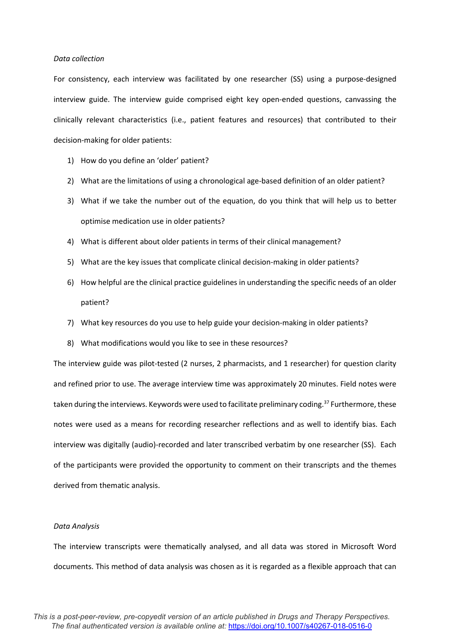#### *Data collection*

For consistency, each interview was facilitated by one researcher (SS) using a purpose-designed interview guide. The interview guide comprised eight key open-ended questions, canvassing the clinically relevant characteristics (i.e., patient features and resources) that contributed to their decision-making for older patients:

- 1) How do you define an 'older' patient?
- 2) What are the limitations of using a chronological age-based definition of an older patient?
- 3) What if we take the number out of the equation, do you think that will help us to better optimise medication use in older patients?
- 4) What is different about older patients in terms of their clinical management?
- 5) What are the key issues that complicate clinical decision-making in older patients?
- 6) How helpful are the clinical practice guidelines in understanding the specific needs of an older patient?
- 7) What key resources do you use to help guide your decision-making in older patients?
- 8) What modifications would you like to see in these resources?

The interview guide was pilot-tested (2 nurses, 2 pharmacists, and 1 researcher) for question clarity and refined prior to use. The average interview time was approximately 20 minutes. Field notes were taken during the interviews. Keywords were used to facilitate preliminary coding.<sup>37</sup> Furthermore, these notes were used as a means for recording researcher reflections and as well to identify bias. Each interview was digitally (audio)-recorded and later transcribed verbatim by one researcher (SS). Each of the participants were provided the opportunity to comment on their transcripts and the themes derived from thematic analysis.

#### *Data Analysis*

The interview transcripts were thematically analysed, and all data was stored in Microsoft Word documents. This method of data analysis was chosen as it is regarded as a flexible approach that can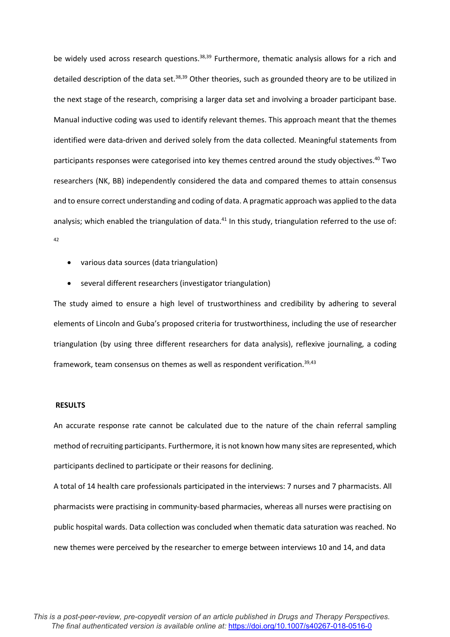be widely used across research questions.<sup>38,39</sup> Furthermore, thematic analysis allows for a rich and detailed description of the data set.<sup>38,39</sup> Other theories, such as grounded theory are to be utilized in the next stage of the research, comprising a larger data set and involving a broader participant base. Manual inductive coding was used to identify relevant themes. This approach meant that the themes identified were data-driven and derived solely from the data collected. Meaningful statements from participants responses were categorised into key themes centred around the study objectives.<sup>40</sup> Two researchers (NK, BB) independently considered the data and compared themes to attain consensus and to ensure correct understanding and coding of data. A pragmatic approach was applied to the data analysis; which enabled the triangulation of data. $41$  In this study, triangulation referred to the use of: 42

- various data sources (data triangulation)
- several different researchers (investigator triangulation)

The study aimed to ensure a high level of trustworthiness and credibility by adhering to several elements of Lincoln and Guba's proposed criteria for trustworthiness, including the use of researcher triangulation (by using three different researchers for data analysis), reflexive journaling, a coding framework, team consensus on themes as well as respondent verification.<sup>39,43</sup>

#### **RESULTS**

An accurate response rate cannot be calculated due to the nature of the chain referral sampling method of recruiting participants. Furthermore, it is not known how many sites are represented, which participants declined to participate or their reasons for declining.

A total of 14 health care professionals participated in the interviews: 7 nurses and 7 pharmacists. All pharmacists were practising in community-based pharmacies, whereas all nurses were practising on public hospital wards. Data collection was concluded when thematic data saturation was reached. No new themes were perceived by the researcher to emerge between interviews 10 and 14, and data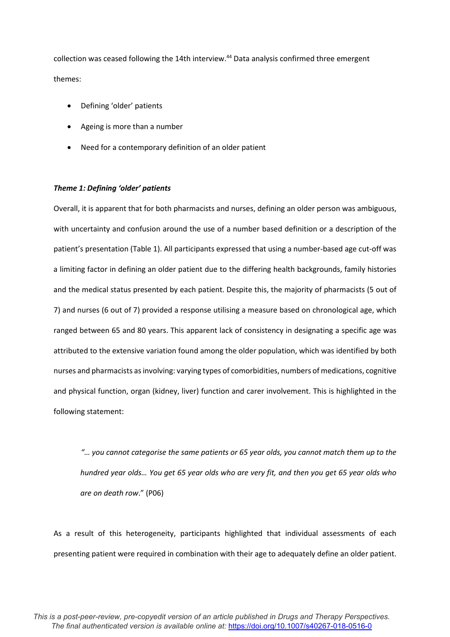collection was ceased following the 14th interview.<sup>44</sup> Data analysis confirmed three emergent themes:

- Defining 'older' patients
- Ageing is more than a number
- Need for a contemporary definition of an older patient

## *Theme 1: Defining 'older' patients*

Overall, it is apparent that for both pharmacists and nurses, defining an older person was ambiguous, with uncertainty and confusion around the use of a number based definition or a description of the patient's presentation (Table 1). All participants expressed that using a number-based age cut-off was a limiting factor in defining an older patient due to the differing health backgrounds, family histories and the medical status presented by each patient. Despite this, the majority of pharmacists (5 out of 7) and nurses (6 out of 7) provided a response utilising a measure based on chronological age, which ranged between 65 and 80 years. This apparent lack of consistency in designating a specific age was attributed to the extensive variation found among the older population, which was identified by both nurses and pharmacists as involving: varying types of comorbidities, numbers of medications, cognitive and physical function, organ (kidney, liver) function and carer involvement. This is highlighted in the following statement:

*"… you cannot categorise the same patients or 65 year olds, you cannot match them up to the hundred year olds… You get 65 year olds who are very fit, and then you get 65 year olds who are on death row*." (P06)

As a result of this heterogeneity, participants highlighted that individual assessments of each presenting patient were required in combination with their age to adequately define an older patient.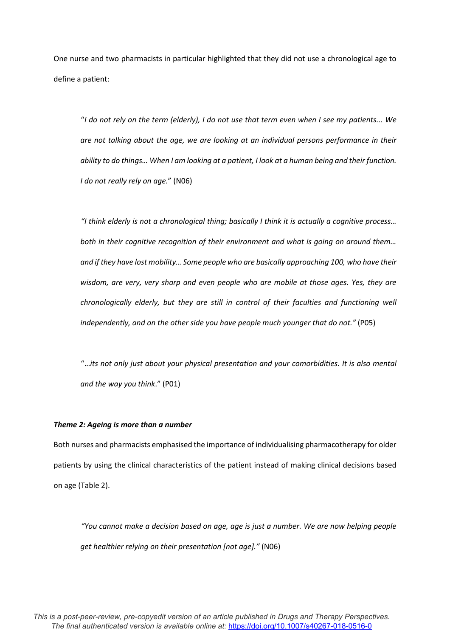One nurse and two pharmacists in particular highlighted that they did not use a chronological age to define a patient:

"*I do not rely on the term (elderly), I do not use that term even when I see my patients... We are not talking about the age, we are looking at an individual persons performance in their ability to do things… When I am looking at a patient, I look at a human being and their function. I do not really rely on age.*" (N06)

*"I think elderly is not a chronological thing; basically I think it is actually a cognitive process… both in their cognitive recognition of their environment and what is going on around them… and if they have lost mobility… Some people who are basically approaching 100, who have their wisdom, are very, very sharp and even people who are mobile at those ages. Yes, they are chronologically elderly, but they are still in control of their faculties and functioning well independently, and on the other side you have people much younger that do not."* (P05)

"…*its not only just about your physical presentation and your comorbidities. It is also mental and the way you think*." (P01)

#### *Theme 2: Ageing is more than a number*

Both nurses and pharmacists emphasised the importance of individualising pharmacotherapy for older patients by using the clinical characteristics of the patient instead of making clinical decisions based on age (Table 2).

*"You cannot make a decision based on age, age is just a number. We are now helping people get healthier relying on their presentation [not age]."* (N06)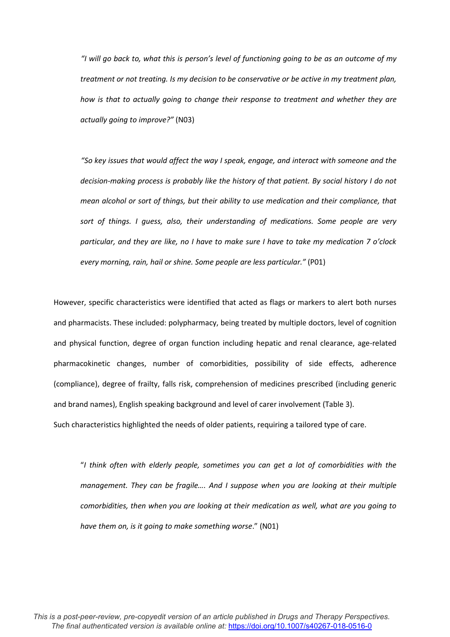*"I will go back to, what this is person's level of functioning going to be as an outcome of my treatment or not treating. Is my decision to be conservative or be active in my treatment plan, how is that to actually going to change their response to treatment and whether they are actually going to improve?"* (N03)

*"So key issues that would affect the way I speak, engage, and interact with someone and the decision-making process is probably like the history of that patient. By social history I do not mean alcohol or sort of things, but their ability to use medication and their compliance, that sort of things. I guess, also, their understanding of medications. Some people are very particular, and they are like, no I have to make sure I have to take my medication 7 o'clock every morning, rain, hail or shine. Some people are less particular."* (P01)

However, specific characteristics were identified that acted as flags or markers to alert both nurses and pharmacists. These included: polypharmacy, being treated by multiple doctors, level of cognition and physical function, degree of organ function including hepatic and renal clearance, age-related pharmacokinetic changes, number of comorbidities, possibility of side effects, adherence (compliance), degree of frailty, falls risk, comprehension of medicines prescribed (including generic and brand names), English speaking background and level of carer involvement (Table 3).

Such characteristics highlighted the needs of older patients, requiring a tailored type of care.

"*I think often with elderly people, sometimes you can get a lot of comorbidities with the management. They can be fragile…. And I suppose when you are looking at their multiple comorbidities, then when you are looking at their medication as well, what are you going to have them on, is it going to make something worse*." (N01)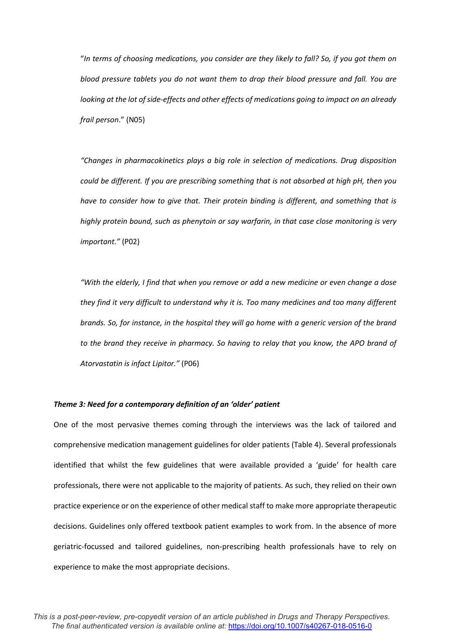"*In terms of choosing medications, you consider are they likely to fall? So, if you got them on blood pressure tablets you do not want them to drop their blood pressure and fall. You are looking at the lot of side-effects and other effects of medications going to impact on an already frail person*." (N05)

*"Changes in pharmacokinetics plays a big role in selection of medications. Drug disposition could be different. If you are prescribing something that is not absorbed at high pH, then you have to consider how to give that. Their protein binding is different, and something that is highly protein bound, such as phenytoin or say warfarin, in that case close monitoring is very important."* (P02)

*"With the elderly, I find that when you remove or add a new medicine or even change a dose they find it very difficult to understand why it is. Too many medicines and too many different brands. So, for instance, in the hospital they will go home with a generic version of the brand to the brand they receive in pharmacy. So having to relay that you know, the APO brand of Atorvastatin is infact Lipitor."* (P06)

#### *Theme 3: Need for a contemporary definition of an 'older' patient*

One of the most pervasive themes coming through the interviews was the lack of tailored and comprehensive medication management guidelines for older patients (Table 4). Several professionals identified that whilst the few guidelines that were available provided a 'guide' for health care professionals, there were not applicable to the majority of patients. As such, they relied on their own practice experience or on the experience of other medical staff to make more appropriate therapeutic decisions. Guidelines only offered textbook patient examples to work from. In the absence of more geriatric-focussed and tailored guidelines, non-prescribing health professionals have to rely on experience to make the most appropriate decisions.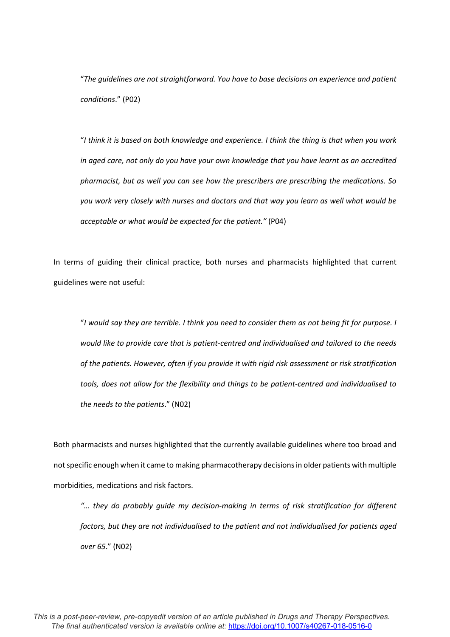"*The guidelines are not straightforward. You have to base decisions on experience and patient conditions*." (P02)

"*I think it is based on both knowledge and experience. I think the thing is that when you work in aged care, not only do you have your own knowledge that you have learnt as an accredited pharmacist, but as well you can see how the prescribers are prescribing the medications. So you work very closely with nurses and doctors and that way you learn as well what would be acceptable or what would be expected for the patient."* (P04)

In terms of guiding their clinical practice, both nurses and pharmacists highlighted that current guidelines were not useful:

"*I would say they are terrible. I think you need to consider them as not being fit for purpose. I would like to provide care that is patient-centred and individualised and tailored to the needs of the patients. However, often if you provide it with rigid risk assessment or risk stratification tools, does not allow for the flexibility and things to be patient-centred and individualised to the needs to the patients*." (N02)

Both pharmacists and nurses highlighted that the currently available guidelines where too broad and not specific enough when it came to making pharmacotherapy decisions in older patients with multiple morbidities, medications and risk factors.

*"… they do probably guide my decision-making in terms of risk stratification for different factors, but they are not individualised to the patient and not individualised for patients aged over 65*." (N02)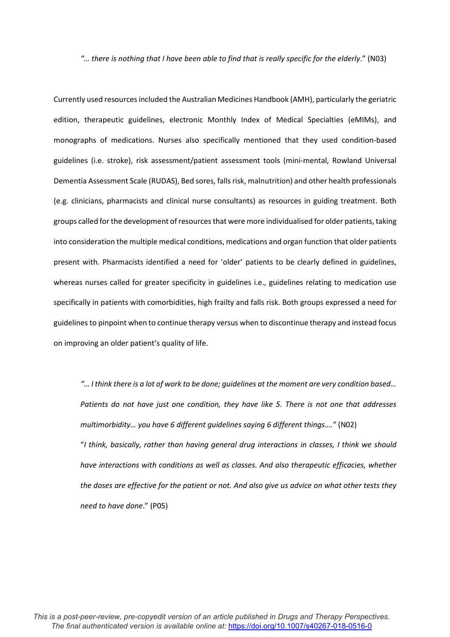*"… there is nothing that I have been able to find that is really specific for the elderly*." (N03)

Currently used resources included the Australian Medicines Handbook (AMH), particularly the geriatric edition, therapeutic guidelines, electronic Monthly Index of Medical Specialties (eMIMs), and monographs of medications. Nurses also specifically mentioned that they used condition-based guidelines (i.e. stroke), risk assessment/patient assessment tools (mini-mental, Rowland Universal Dementia Assessment Scale (RUDAS), Bed sores, falls risk, malnutrition) and other health professionals (e.g. clinicians, pharmacists and clinical nurse consultants) as resources in guiding treatment. Both groups called for the development of resources that were more individualised for older patients,taking into consideration the multiple medical conditions, medications and organ function that older patients present with. Pharmacists identified a need for 'older' patients to be clearly defined in guidelines, whereas nurses called for greater specificity in guidelines i.e., guidelines relating to medication use specifically in patients with comorbidities, high frailty and falls risk. Both groups expressed a need for guidelines to pinpoint when to continue therapy versus when to discontinue therapy and instead focus on improving an older patient's quality of life.

*"… I think there is a lot of work to be done; guidelines at the moment are very condition based… Patients do not have just one condition, they have like 5. There is not one that addresses multimorbidity… you have 6 different guidelines saying 6 different things…."* (N02) "*I think, basically, rather than having general drug interactions in classes, I think we should have interactions with conditions as well as classes. And also therapeutic efficacies, whether the doses are effective for the patient or not. And also give us advice on what other tests they need to have done*." (P05)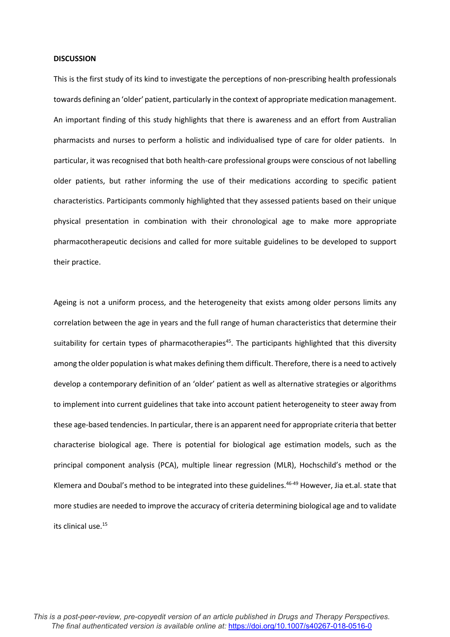#### **DISCUSSION**

This is the first study of its kind to investigate the perceptions of non-prescribing health professionals towards defining an 'older' patient, particularly in the context of appropriate medication management. An important finding of this study highlights that there is awareness and an effort from Australian pharmacists and nurses to perform a holistic and individualised type of care for older patients. In particular, it was recognised that both health-care professional groups were conscious of not labelling older patients, but rather informing the use of their medications according to specific patient characteristics. Participants commonly highlighted that they assessed patients based on their unique physical presentation in combination with their chronological age to make more appropriate pharmacotherapeutic decisions and called for more suitable guidelines to be developed to support their practice.

Ageing is not a uniform process, and the heterogeneity that exists among older persons limits any correlation between the age in years and the full range of human characteristics that determine their suitability for certain types of pharmacotherapies<sup>45</sup>. The participants highlighted that this diversity among the older population is what makes defining them difficult. Therefore, there is a need to actively develop a contemporary definition of an 'older' patient as well as alternative strategies or algorithms to implement into current guidelines that take into account patient heterogeneity to steer away from these age-based tendencies. In particular, there is an apparent need for appropriate criteria that better characterise biological age. There is potential for biological age estimation models, such as the principal component analysis (PCA), multiple linear regression (MLR), Hochschild's method or the Klemera and Doubal's method to be integrated into these guidelines.46-49 However, Jia et.al. state that more studies are needed to improve the accuracy of criteria determining biological age and to validate its clinical use.15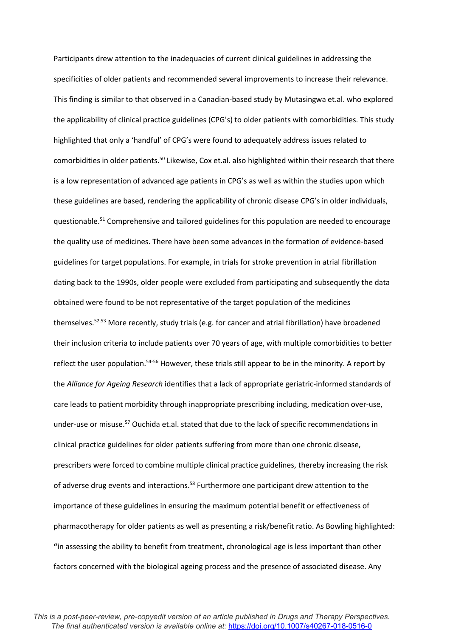Participants drew attention to the inadequacies of current clinical guidelines in addressing the specificities of older patients and recommended several improvements to increase their relevance. This finding is similar to that observed in a Canadian-based study by Mutasingwa et.al. who explored the applicability of clinical practice guidelines (CPG's) to older patients with comorbidities. This study highlighted that only a 'handful' of CPG's were found to adequately address issues related to comorbidities in older patients.<sup>50</sup> Likewise, Cox et.al. also highlighted within their research that there is a low representation of advanced age patients in CPG's as well as within the studies upon which these guidelines are based, rendering the applicability of chronic disease CPG's in older individuals, questionable.<sup>51</sup> Comprehensive and tailored guidelines for this population are needed to encourage the quality use of medicines. There have been some advances in the formation of evidence-based guidelines for target populations. For example, in trials for stroke prevention in atrial fibrillation dating back to the 1990s, older people were excluded from participating and subsequently the data obtained were found to be not representative of the target population of the medicines themselves. 52,53 More recently, study trials (e.g. for cancer and atrial fibrillation) have broadened their inclusion criteria to include patients over 70 years of age, with multiple comorbidities to better reflect the user population.<sup>54-56</sup> However, these trials still appear to be in the minority. A report by the *Alliance for Ageing Research* identifies that a lack of appropriate geriatric-informed standards of care leads to patient morbidity through inappropriate prescribing including, medication over-use, under-use or misuse.57 Ouchida et.al. stated that due to the lack of specific recommendations in clinical practice guidelines for older patients suffering from more than one chronic disease, prescribers were forced to combine multiple clinical practice guidelines, thereby increasing the risk of adverse drug events and interactions.<sup>58</sup> Furthermore one participant drew attention to the importance of these guidelines in ensuring the maximum potential benefit or effectiveness of pharmacotherapy for older patients as well as presenting a risk/benefit ratio. As Bowling highlighted: **"i**n assessing the ability to benefit from treatment, chronological age is less important than other factors concerned with the biological ageing process and the presence of associated disease. Any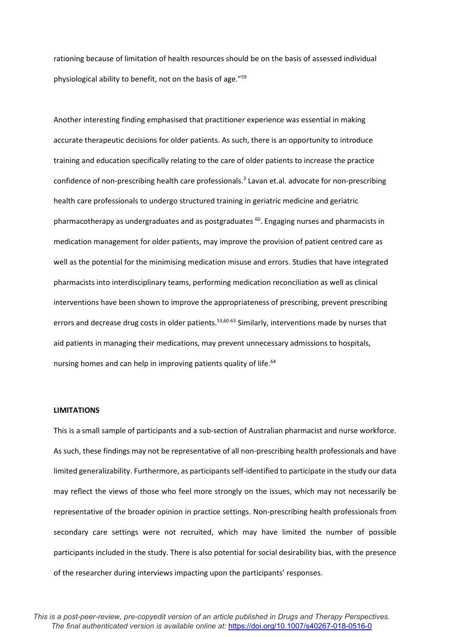rationing because of limitation of health resources should be on the basis of assessed individual physiological ability to benefit, not on the basis of age."59

Another interesting finding emphasised that practitioner experience was essential in making accurate therapeutic decisions for older patients. As such, there is an opportunity to introduce training and education specifically relating to the care of older patients to increase the practice confidence of non-prescribing health care professionals. <sup>3</sup> Lavan et.al. advocate for non-prescribing health care professionals to undergo structured training in geriatric medicine and geriatric pharmacotherapy as undergraduates and as postgraduates <sup>60</sup>. Engaging nurses and pharmacists in medication management for older patients, may improve the provision of patient centred care as well as the potential for the minimising medication misuse and errors. Studies that have integrated pharmacists into interdisciplinary teams, performing medication reconciliation as well as clinical interventions have been shown to improve the appropriateness of prescribing, prevent prescribing errors and decrease drug costs in older patients.<sup>53,60-63</sup> Similarly, interventions made by nurses that aid patients in managing their medications, may prevent unnecessary admissions to hospitals, nursing homes and can help in improving patients quality of life.<sup>64</sup>

## **LIMITATIONS**

This is a small sample of participants and a sub-section of Australian pharmacist and nurse workforce. As such, these findings may not be representative of all non-prescribing health professionals and have limited generalizability. Furthermore, as participants self-identified to participate in the study our data may reflect the views of those who feel more strongly on the issues, which may not necessarily be representative of the broader opinion in practice settings. Non-prescribing health professionals from secondary care settings were not recruited, which may have limited the number of possible participants included in the study. There is also potential for social desirability bias, with the presence of the researcher during interviews impacting upon the participants' responses.

*This is a post-peer-review, pre-copyedit version of an article published in Drugs and Therapy Perspectives. The final authenticated version is available online at:* <https://doi.org/10.1007/s40267-018-0516-0>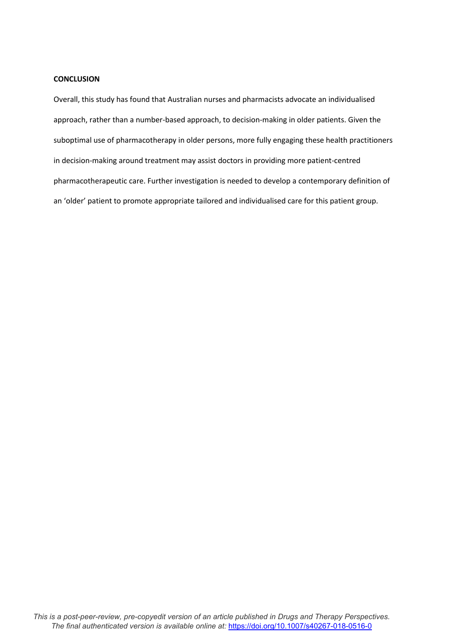### **CONCLUSION**

Overall, this study has found that Australian nurses and pharmacists advocate an individualised approach, rather than a number-based approach, to decision-making in older patients. Given the suboptimal use of pharmacotherapy in older persons, more fully engaging these health practitioners in decision-making around treatment may assist doctors in providing more patient-centred pharmacotherapeutic care. Further investigation is needed to develop a contemporary definition of an 'older' patient to promote appropriate tailored and individualised care for this patient group.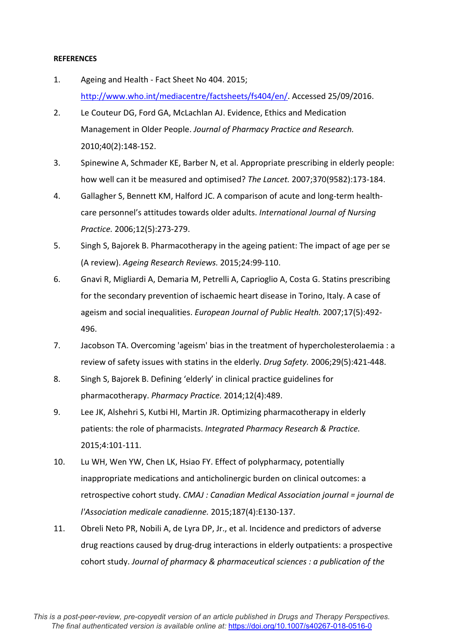# **REFERENCES**

- 1. Ageing and Health Fact Sheet No 404. 2015; [http://www.who.int/mediacentre/factsheets/fs404/en/.](http://www.who.int/mediacentre/factsheets/fs404/en/) Accessed 25/09/2016.
- 2. Le Couteur DG, Ford GA, McLachlan AJ. Evidence, Ethics and Medication Management in Older People. *Journal of Pharmacy Practice and Research.*  2010;40(2):148-152.
- 3. Spinewine A, Schmader KE, Barber N, et al. Appropriate prescribing in elderly people: how well can it be measured and optimised? *The Lancet.* 2007;370(9582):173-184.
- 4. Gallagher S, Bennett KM, Halford JC. A comparison of acute and long-term healthcare personnel's attitudes towards older adults. *International Journal of Nursing Practice.* 2006;12(5):273-279.
- 5. Singh S, Bajorek B. Pharmacotherapy in the ageing patient: The impact of age per se (A review). *Ageing Research Reviews.* 2015;24:99-110.
- 6. Gnavi R, Migliardi A, Demaria M, Petrelli A, Caprioglio A, Costa G. Statins prescribing for the secondary prevention of ischaemic heart disease in Torino, Italy. A case of ageism and social inequalities. *European Journal of Public Health.* 2007;17(5):492- 496.
- 7. Jacobson TA. Overcoming 'ageism' bias in the treatment of hypercholesterolaemia : a review of safety issues with statins in the elderly. *Drug Safety.* 2006;29(5):421-448.
- 8. Singh S, Bajorek B. Defining 'elderly' in clinical practice guidelines for pharmacotherapy. *Pharmacy Practice.* 2014;12(4):489.
- 9. Lee JK, Alshehri S, Kutbi HI, Martin JR. Optimizing pharmacotherapy in elderly patients: the role of pharmacists. *Integrated Pharmacy Research & Practice.*  2015;4:101-111.
- 10. Lu WH, Wen YW, Chen LK, Hsiao FY. Effect of polypharmacy, potentially inappropriate medications and anticholinergic burden on clinical outcomes: a retrospective cohort study. *CMAJ : Canadian Medical Association journal = journal de l'Association medicale canadienne.* 2015;187(4):E130-137.
- 11. Obreli Neto PR, Nobili A, de Lyra DP, Jr., et al. Incidence and predictors of adverse drug reactions caused by drug-drug interactions in elderly outpatients: a prospective cohort study. *Journal of pharmacy & pharmaceutical sciences : a publication of the*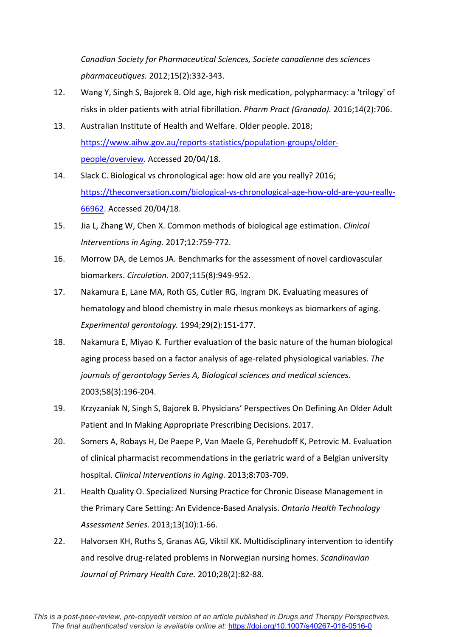*Canadian Society for Pharmaceutical Sciences, Societe canadienne des sciences pharmaceutiques.* 2012;15(2):332-343.

- 12. Wang Y, Singh S, Bajorek B. Old age, high risk medication, polypharmacy: a 'trilogy' of risks in older patients with atrial fibrillation. *Pharm Pract (Granada).* 2016;14(2):706.
- 13. Australian Institute of Health and Welfare. Older people. 2018; [https://www.aihw.gov.au/reports-statistics/population-groups/older](https://www.aihw.gov.au/reports-statistics/population-groups/older-people/overview)[people/overview.](https://www.aihw.gov.au/reports-statistics/population-groups/older-people/overview) Accessed 20/04/18.
- 14. Slack C. Biological vs chronological age: how old are you really? 2016; [https://theconversation.com/biological-vs-chronological-age-how-old-are-you-really-](https://theconversation.com/biological-vs-chronological-age-how-old-are-you-really-66962)[66962.](https://theconversation.com/biological-vs-chronological-age-how-old-are-you-really-66962) Accessed 20/04/18.
- 15. Jia L, Zhang W, Chen X. Common methods of biological age estimation. *Clinical Interventions in Aging.* 2017;12:759-772.
- 16. Morrow DA, de Lemos JA. Benchmarks for the assessment of novel cardiovascular biomarkers. *Circulation.* 2007;115(8):949-952.
- 17. Nakamura E, Lane MA, Roth GS, Cutler RG, Ingram DK. Evaluating measures of hematology and blood chemistry in male rhesus monkeys as biomarkers of aging. *Experimental gerontology.* 1994;29(2):151-177.
- 18. Nakamura E, Miyao K. Further evaluation of the basic nature of the human biological aging process based on a factor analysis of age-related physiological variables. *The journals of gerontology Series A, Biological sciences and medical sciences.*  2003;58(3):196-204.
- 19. Krzyzaniak N, Singh S, Bajorek B. Physicians' Perspectives On Defining An Older Adult Patient and In Making Appropriate Prescribing Decisions. 2017.
- 20. Somers A, Robays H, De Paepe P, Van Maele G, Perehudoff K, Petrovic M. Evaluation of clinical pharmacist recommendations in the geriatric ward of a Belgian university hospital. *Clinical Interventions in Aging.* 2013;8:703-709.
- 21. Health Quality O. Specialized Nursing Practice for Chronic Disease Management in the Primary Care Setting: An Evidence-Based Analysis. *Ontario Health Technology Assessment Series.* 2013;13(10):1-66.
- 22. Halvorsen KH, Ruths S, Granas AG, Viktil KK. Multidisciplinary intervention to identify and resolve drug-related problems in Norwegian nursing homes. *Scandinavian Journal of Primary Health Care.* 2010;28(2):82-88.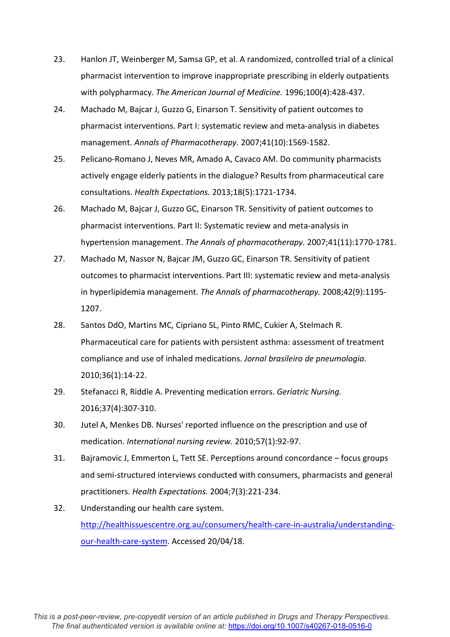- 23. Hanlon JT, Weinberger M, Samsa GP, et al. A randomized, controlled trial of a clinical pharmacist intervention to improve inappropriate prescribing in elderly outpatients with polypharmacy. *The American Journal of Medicine.* 1996;100(4):428-437.
- 24. Machado M, Bajcar J, Guzzo G, Einarson T. Sensitivity of patient outcomes to pharmacist interventions. Part I: systematic review and meta-analysis in diabetes management. *Annals of Pharmacotherapy.* 2007;41(10):1569-1582.
- 25. Pelicano-Romano J, Neves MR, Amado A, Cavaco AM. Do community pharmacists actively engage elderly patients in the dialogue? Results from pharmaceutical care consultations. *Health Expectations.* 2013;18(5):1721-1734.
- 26. Machado M, Bajcar J, Guzzo GC, Einarson TR. Sensitivity of patient outcomes to pharmacist interventions. Part II: Systematic review and meta-analysis in hypertension management. *The Annals of pharmacotherapy.* 2007;41(11):1770-1781.
- 27. Machado M, Nassor N, Bajcar JM, Guzzo GC, Einarson TR. Sensitivity of patient outcomes to pharmacist interventions. Part III: systematic review and meta-analysis in hyperlipidemia management. *The Annals of pharmacotherapy.* 2008;42(9):1195- 1207.
- 28. Santos DdO, Martins MC, Cipriano SL, Pinto RMC, Cukier A, Stelmach R. Pharmaceutical care for patients with persistent asthma: assessment of treatment compliance and use of inhaled medications. *Jornal brasileiro de pneumologia.*  2010;36(1):14-22.
- 29. Stefanacci R, Riddle A. Preventing medication errors. *Geriatric Nursing.*  2016;37(4):307-310.
- 30. Jutel A, Menkes DB. Nurses' reported influence on the prescription and use of medication. *International nursing review.* 2010;57(1):92-97.
- 31. Bajramovic J, Emmerton L, Tett SE. Perceptions around concordance focus groups and semi-structured interviews conducted with consumers, pharmacists and general practitioners. *Health Expectations.* 2004;7(3):221-234.
- 32. Understanding our health care system. [http://healthissuescentre.org.au/consumers/health-care-in-australia/understanding](http://healthissuescentre.org.au/consumers/health-care-in-australia/understanding-our-health-care-system)[our-health-care-system.](http://healthissuescentre.org.au/consumers/health-care-in-australia/understanding-our-health-care-system) Accessed 20/04/18.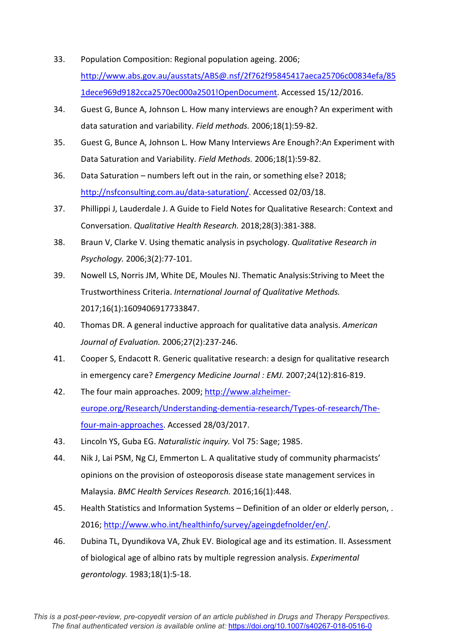- 33. Population Composition: Regional population ageing. 2006; [http://www.abs.gov.au/ausstats/ABS@.nsf/2f762f95845417aeca25706c00834efa/85](http://www.abs.gov.au/ausstats/ABS@.nsf/2f762f95845417aeca25706c00834efa/851dece969d9182cca2570ec000a2501!OpenDocument) [1dece969d9182cca2570ec000a2501!OpenDocument.](http://www.abs.gov.au/ausstats/ABS@.nsf/2f762f95845417aeca25706c00834efa/851dece969d9182cca2570ec000a2501!OpenDocument) Accessed 15/12/2016.
- 34. Guest G, Bunce A, Johnson L. How many interviews are enough? An experiment with data saturation and variability. *Field methods.* 2006;18(1):59-82.
- 35. Guest G, Bunce A, Johnson L. How Many Interviews Are Enough?:An Experiment with Data Saturation and Variability. *Field Methods.* 2006;18(1):59-82.
- 36. Data Saturation numbers left out in the rain, or something else? 2018; [http://nsfconsulting.com.au/data-saturation/.](http://nsfconsulting.com.au/data-saturation/) Accessed 02/03/18.
- 37. Phillippi J, Lauderdale J. A Guide to Field Notes for Qualitative Research: Context and Conversation. *Qualitative Health Research.* 2018;28(3):381-388.
- 38. Braun V, Clarke V. Using thematic analysis in psychology. *Qualitative Research in Psychology.* 2006;3(2):77-101.
- 39. Nowell LS, Norris JM, White DE, Moules NJ. Thematic Analysis:Striving to Meet the Trustworthiness Criteria. *International Journal of Qualitative Methods.*  2017;16(1):1609406917733847.
- 40. Thomas DR. A general inductive approach for qualitative data analysis. *American Journal of Evaluation.* 2006;27(2):237-246.
- 41. Cooper S, Endacott R. Generic qualitative research: a design for qualitative research in emergency care? *Emergency Medicine Journal : EMJ.* 2007;24(12):816-819.
- 42. The four main approaches. 2009[; http://www.alzheimer](http://www.alzheimer-europe.org/Research/Understanding-dementia-research/Types-of-research/The-four-main-approaches)[europe.org/Research/Understanding-dementia-research/Types-of-research/The](http://www.alzheimer-europe.org/Research/Understanding-dementia-research/Types-of-research/The-four-main-approaches)[four-main-approaches.](http://www.alzheimer-europe.org/Research/Understanding-dementia-research/Types-of-research/The-four-main-approaches) Accessed 28/03/2017.
- 43. Lincoln YS, Guba EG. *Naturalistic inquiry.* Vol 75: Sage; 1985.
- 44. Nik J, Lai PSM, Ng CJ, Emmerton L. A qualitative study of community pharmacists' opinions on the provision of osteoporosis disease state management services in Malaysia. *BMC Health Services Research.* 2016;16(1):448.
- 45. Health Statistics and Information Systems Definition of an older or elderly person, . 2016; [http://www.who.int/healthinfo/survey/ageingdefnolder/en/.](http://www.who.int/healthinfo/survey/ageingdefnolder/en/)
- 46. Dubina TL, Dyundikova VA, Zhuk EV. Biological age and its estimation. II. Assessment of biological age of albino rats by multiple regression analysis. *Experimental gerontology.* 1983;18(1):5-18.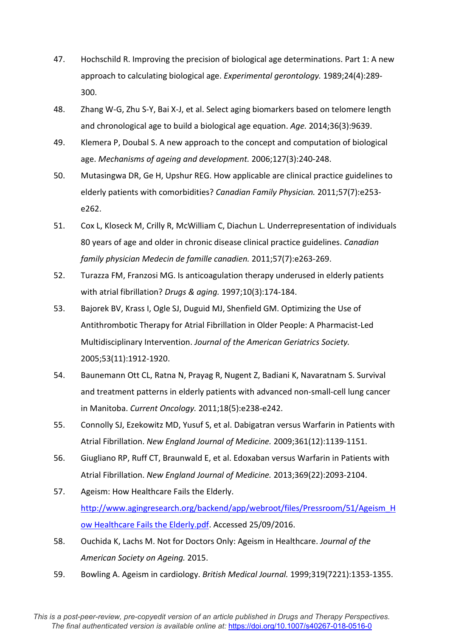- 47. Hochschild R. Improving the precision of biological age determinations. Part 1: A new approach to calculating biological age. *Experimental gerontology.* 1989;24(4):289- 300.
- 48. Zhang W-G, Zhu S-Y, Bai X-J, et al. Select aging biomarkers based on telomere length and chronological age to build a biological age equation. *Age.* 2014;36(3):9639.
- 49. Klemera P, Doubal S. A new approach to the concept and computation of biological age. *Mechanisms of ageing and development.* 2006;127(3):240-248.
- 50. Mutasingwa DR, Ge H, Upshur REG. How applicable are clinical practice guidelines to elderly patients with comorbidities? *Canadian Family Physician.* 2011;57(7):e253 e262.
- 51. Cox L, Kloseck M, Crilly R, McWilliam C, Diachun L. Underrepresentation of individuals 80 years of age and older in chronic disease clinical practice guidelines. *Canadian family physician Medecin de famille canadien.* 2011;57(7):e263-269.
- 52. Turazza FM, Franzosi MG. Is anticoagulation therapy underused in elderly patients with atrial fibrillation? *Drugs & aging.* 1997;10(3):174-184.
- 53. Bajorek BV, Krass I, Ogle SJ, Duguid MJ, Shenfield GM. Optimizing the Use of Antithrombotic Therapy for Atrial Fibrillation in Older People: A Pharmacist-Led Multidisciplinary Intervention. *Journal of the American Geriatrics Society.*  2005;53(11):1912-1920.
- 54. Baunemann Ott CL, Ratna N, Prayag R, Nugent Z, Badiani K, Navaratnam S. Survival and treatment patterns in elderly patients with advanced non-small-cell lung cancer in Manitoba. *Current Oncology.* 2011;18(5):e238-e242.
- 55. Connolly SJ, Ezekowitz MD, Yusuf S, et al. Dabigatran versus Warfarin in Patients with Atrial Fibrillation. *New England Journal of Medicine.* 2009;361(12):1139-1151.
- 56. Giugliano RP, Ruff CT, Braunwald E, et al. Edoxaban versus Warfarin in Patients with Atrial Fibrillation. *New England Journal of Medicine.* 2013;369(22):2093-2104.
- 57. Ageism: How Healthcare Fails the Elderly. [http://www.agingresearch.org/backend/app/webroot/files/Pressroom/51/Ageism\\_H](http://www.agingresearch.org/backend/app/webroot/files/Pressroom/51/Ageism_How%20Healthcare%20Fails%20the%20Elderly.pdf) [ow Healthcare Fails the Elderly.pdf.](http://www.agingresearch.org/backend/app/webroot/files/Pressroom/51/Ageism_How%20Healthcare%20Fails%20the%20Elderly.pdf) Accessed 25/09/2016.
- 58. Ouchida K, Lachs M. Not for Doctors Only: Ageism in Healthcare. *Journal of the American Society on Ageing.* 2015.
- 59. Bowling A. Ageism in cardiology. *British Medical Journal.* 1999;319(7221):1353-1355.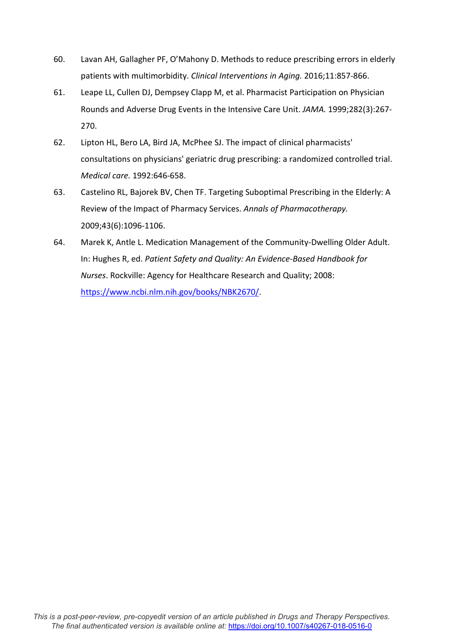- 60. Lavan AH, Gallagher PF, O'Mahony D. Methods to reduce prescribing errors in elderly patients with multimorbidity. *Clinical Interventions in Aging.* 2016;11:857-866.
- 61. Leape LL, Cullen DJ, Dempsey Clapp M, et al. Pharmacist Participation on Physician Rounds and Adverse Drug Events in the Intensive Care Unit. *JAMA.* 1999;282(3):267- 270.
- 62. Lipton HL, Bero LA, Bird JA, McPhee SJ. The impact of clinical pharmacists' consultations on physicians' geriatric drug prescribing: a randomized controlled trial. *Medical care.* 1992:646-658.
- 63. Castelino RL, Bajorek BV, Chen TF. Targeting Suboptimal Prescribing in the Elderly: A Review of the Impact of Pharmacy Services. *Annals of Pharmacotherapy.*  2009;43(6):1096-1106.
- 64. Marek K, Antle L. Medication Management of the Community-Dwelling Older Adult. In: Hughes R, ed. *Patient Safety and Quality: An Evidence-Based Handbook for Nurses*. Rockville: Agency for Healthcare Research and Quality; 2008: [https://www.ncbi.nlm.nih.gov/books/NBK2670/.](https://www.ncbi.nlm.nih.gov/books/NBK2670/)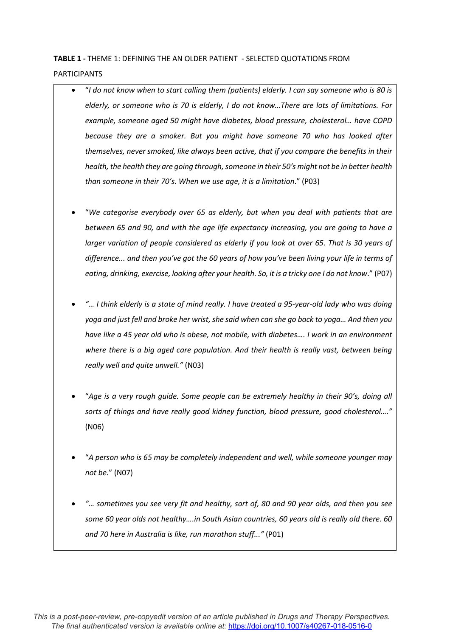# **TABLE 1 -** THEME 1: DEFINING THE AN OLDER PATIENT - SELECTED QUOTATIONS FROM PARTICIPANTS

- "*I do not know when to start calling them (patients) elderly. I can say someone who is 80 is elderly, or someone who is 70 is elderly, I do not know…There are lots of limitations. For example, someone aged 50 might have diabetes, blood pressure, cholesterol… have COPD because they are a smoker. But you might have someone 70 who has looked after themselves, never smoked, like always been active, that if you compare the benefits in their health, the health they are going through, someone in their 50's might not be in better health than someone in their 70's. When we use age, it is a limitation*." (P03)
- "*We categorise everybody over 65 as elderly, but when you deal with patients that are between 65 and 90, and with the age life expectancy increasing, you are going to have a larger variation of people considered as elderly if you look at over 65. That is 30 years of difference... and then you've got the 60 years of how you've been living your life in terms of eating, drinking, exercise, looking after your health. So, it is a tricky one I do not know*." (P07)
- *"… I think elderly is a state of mind really. I have treated a 95-year-old lady who was doing yoga and just fell and broke her wrist, she said when can she go back to yoga… And then you have like a 45 year old who is obese, not mobile, with diabetes…. I work in an environment where there is a big aged care population. And their health is really vast, between being really well and quite unwell."* (N03)
- "*Age is a very rough guide. Some people can be extremely healthy in their 90's, doing all sorts of things and have really good kidney function, blood pressure, good cholesterol…."* (N06)
- "*A person who is 65 may be completely independent and well, while someone younger may not be*." (N07)
- *"… sometimes you see very fit and healthy, sort of, 80 and 90 year olds, and then you see some 60 year olds not healthy….in South Asian countries, 60 years old is really old there. 60 and 70 here in Australia is like, run marathon stuff..."* (P01)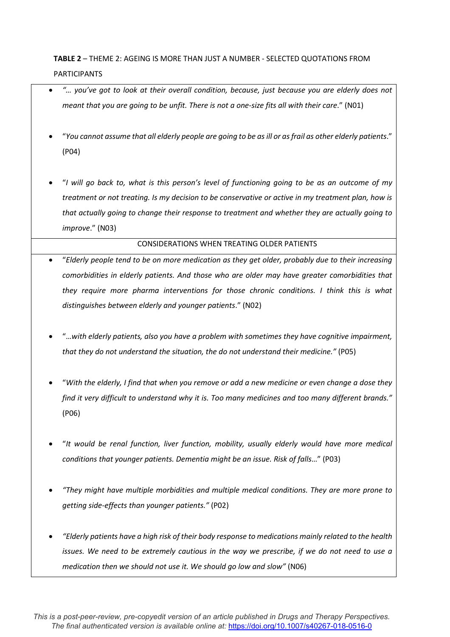# **TABLE 2** – THEME 2: AGEING IS MORE THAN JUST A NUMBER - SELECTED QUOTATIONS FROM PARTICIPANTS

- *"… you've got to look at their overall condition, because, just because you are elderly does not meant that you are going to be unfit. There is not a one-size fits all with their care*." (N01)
- "*You cannot assume that all elderly people are going to be as ill or as frail as other elderly patients*." (P04)
- "*I will go back to, what is this person's level of functioning going to be as an outcome of my treatment or not treating. Is my decision to be conservative or active in my treatment plan, how is that actually going to change their response to treatment and whether they are actually going to improve*." (N03)

## CONSIDERATIONS WHEN TREATING OLDER PATIENTS

- "*Elderly people tend to be on more medication as they get older, probably due to their increasing comorbidities in elderly patients. And those who are older may have greater comorbidities that they require more pharma interventions for those chronic conditions. I think this is what distinguishes between elderly and younger patients*." (N02)
- "…*with elderly patients, also you have a problem with sometimes they have cognitive impairment, that they do not understand the situation, the do not understand their medicine."* (P05)
- "*With the elderly, I find that when you remove or add a new medicine or even change a dose they find it very difficult to understand why it is. Too many medicines and too many different brands."* (P06)
- "*It would be renal function, liver function, mobility, usually elderly would have more medical conditions that younger patients. Dementia might be an issue. Risk of falls*…" (P03)
- *"They might have multiple morbidities and multiple medical conditions. They are more prone to getting side-effects than younger patients."* (P02)
- *"Elderly patients have a high risk of their body response to medications mainly related to the health issues. We need to be extremely cautious in the way we prescribe, if we do not need to use a medication then we should not use it. We should go low and slow"* (N06)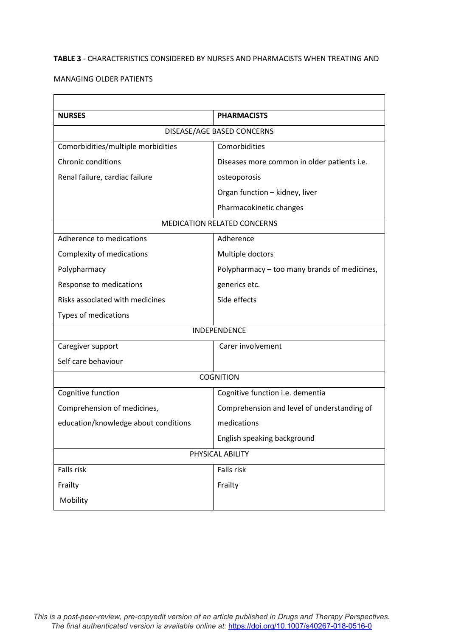# **TABLE 3** - CHARACTERISTICS CONSIDERED BY NURSES AND PHARMACISTS WHEN TREATING AND

 $\overline{\phantom{0}}$ 

## MANAGING OLDER PATIENTS

 $\overline{\Gamma}$ 

| <b>PHARMACISTS</b>                           |  |  |
|----------------------------------------------|--|--|
| DISEASE/AGE BASED CONCERNS                   |  |  |
| Comorbidities                                |  |  |
| Diseases more common in older patients i.e.  |  |  |
| osteoporosis                                 |  |  |
| Organ function - kidney, liver               |  |  |
| Pharmacokinetic changes                      |  |  |
| <b>MEDICATION RELATED CONCERNS</b>           |  |  |
| Adherence                                    |  |  |
| Multiple doctors                             |  |  |
| Polypharmacy – too many brands of medicines, |  |  |
| generics etc.                                |  |  |
| Side effects                                 |  |  |
|                                              |  |  |
| INDEPENDENCE                                 |  |  |
| Carer involvement                            |  |  |
|                                              |  |  |
| <b>COGNITION</b>                             |  |  |
| Cognitive function i.e. dementia             |  |  |
| Comprehension and level of understanding of  |  |  |
| medications                                  |  |  |
| English speaking background                  |  |  |
| PHYSICAL ABILITY                             |  |  |
| Falls risk                                   |  |  |
| Frailty                                      |  |  |
|                                              |  |  |
|                                              |  |  |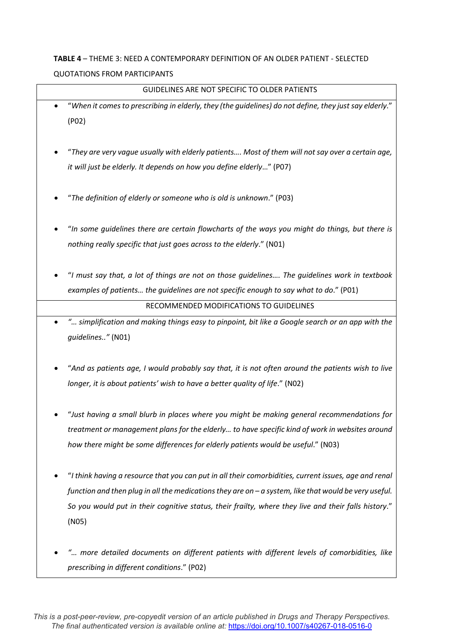# **TABLE 4** – THEME 3: NEED A CONTEMPORARY DEFINITION OF AN OLDER PATIENT - SELECTED QUOTATIONS FROM PARTICIPANTS

GUIDELINES ARE NOT SPECIFIC TO OLDER PATIENTS

| "When it comes to prescribing in elderly, they (the guidelines) do not define, they just say elderly." |
|--------------------------------------------------------------------------------------------------------|
| (PO2)                                                                                                  |
|                                                                                                        |
| "They are very vague usually with elderly patients Most of them will not say over a certain age,       |
| it will just be elderly. It depends on how you define elderly" (P07)                                   |
|                                                                                                        |
| "The definition of elderly or someone who is old is unknown." (P03)                                    |
|                                                                                                        |
| "In some guidelines there are certain flowcharts of the ways you might do things, but there is         |
| nothing really specific that just goes across to the elderly." (N01)                                   |
|                                                                                                        |
| "I must say that, a lot of things are not on those guidelines The guidelines work in textbook          |
| examples of patients the guidelines are not specific enough to say what to do." (PO1)                  |

RECOMMENDED MODIFICATIONS TO GUIDELINES

- *"… simplification and making things easy to pinpoint, bit like a Google search or an app with the guidelines.."* (N01)
- "*And as patients age, I would probably say that, it is not often around the patients wish to live longer, it is about patients' wish to have a better quality of life*." (N02)
- "*Just having a small blurb in places where you might be making general recommendations for treatment or management plans for the elderly… to have specific kind of work in websites around how there might be some differences for elderly patients would be useful*." (N03)
- "*I think having a resource that you can put in all their comorbidities, current issues, age and renal function and then plug in all the medications they are on – a system, like that would be very useful. So you would put in their cognitive status, their frailty, where they live and their falls history*." (N05)
- *"… more detailed documents on different patients with different levels of comorbidities, like prescribing in different conditions*." (P02)